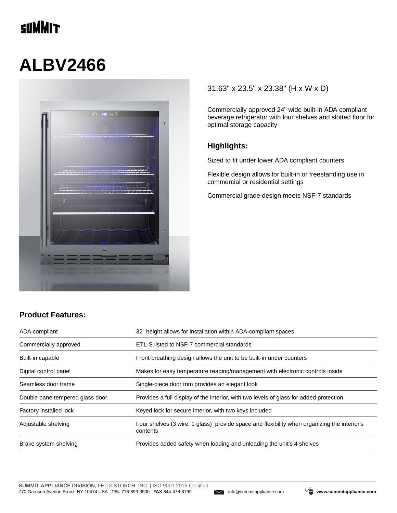## **TINNIT**

# **ALBV2466**



#### 31.63" x 23.5" x 23.38" (H x W x D)

Commercially approved 24" wide built-in ADA compliant beverage refrigerator with four shelves and slotted floor for optimal storage capacity

#### **Highlights:**

Sized to fit under lower ADA compliant counters

Flexible design allows for built-in or freestanding use in commercial or residential settings

Commercial grade design meets NSF-7 standards

### **Product Features:**

| ADA compliant                   | 32" height allows for installation within ADA-compliant spaces                                          |  |
|---------------------------------|---------------------------------------------------------------------------------------------------------|--|
| Commercially approved           | ETL-S listed to NSF-7 commercial standards                                                              |  |
| Built-in capable                | Front-breathing design allows the unit to be built-in under counters                                    |  |
| Digital control panel           | Makes for easy temperature reading/management with electronic controls inside                           |  |
| Seamless door frame             | Single-piece door trim provides an elegant look                                                         |  |
| Double pane tempered glass door | Provides a full display of the interior, with two levels of glass for added protection                  |  |
| Factory installed lock          | Keyed lock for secure interior, with two keys included                                                  |  |
| Adjustable shelving             | Four shelves (3 wire, 1 glass) provide space and flexibility when organizing the interior's<br>contents |  |
| Brake system shelving           | Provides added safety when loading and unloading the unit's 4 shelves                                   |  |

![](_page_0_Picture_13.jpeg)